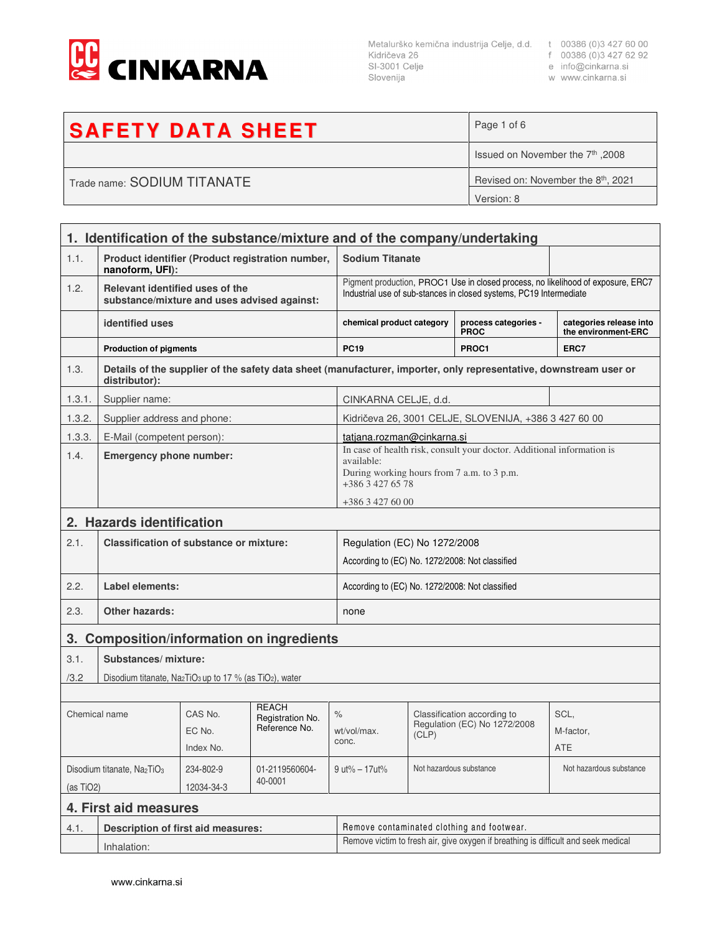

Metalurško kemična industrija Celje, d.d. t 00386 (0)3 427 60 00<br>Kidričeva 26 f 00386 (0)3 427 62 92<br>SI-3001 Celje e info@cinkarna.si Slovenija

w www.cinkarna.si

| <b>SAFETY DATA SHEET</b>    | Page 1 of 6                                     |
|-----------------------------|-------------------------------------------------|
|                             | 18008. Issued on November the 7th               |
| Trade name: SODIUM TITANATE | Revised on: November the 8 <sup>th</sup> , 2021 |
|                             | Version: 8                                      |

| 1. Identification of the substance/mixture and of the company/undertaking |                                                                                |                    |                                                                                                                                                        |                                                                                                                                          |                         |                                                                                                                   |                                                |
|---------------------------------------------------------------------------|--------------------------------------------------------------------------------|--------------------|--------------------------------------------------------------------------------------------------------------------------------------------------------|------------------------------------------------------------------------------------------------------------------------------------------|-------------------------|-------------------------------------------------------------------------------------------------------------------|------------------------------------------------|
| 1.1.                                                                      | Product identifier (Product registration number,<br>nanoform, UFI):            |                    | <b>Sodium Titanate</b>                                                                                                                                 |                                                                                                                                          |                         |                                                                                                                   |                                                |
| 1.2.                                                                      | Relevant identified uses of the<br>substance/mixture and uses advised against: |                    | Pigment production, PROC1 Use in closed process, no likelihood of exposure, ERC7<br>Industrial use of sub-stances in closed systems, PC19 Intermediate |                                                                                                                                          |                         |                                                                                                                   |                                                |
|                                                                           | identified uses                                                                |                    |                                                                                                                                                        | chemical product category                                                                                                                |                         | process categories -<br><b>PROC</b>                                                                               | categories release into<br>the environment-ERC |
|                                                                           | <b>Production of pigments</b>                                                  |                    |                                                                                                                                                        | <b>PC19</b>                                                                                                                              |                         | PROC1                                                                                                             | ERC7                                           |
| 1.3.                                                                      | distributor):                                                                  |                    |                                                                                                                                                        |                                                                                                                                          |                         | Details of the supplier of the safety data sheet (manufacturer, importer, only representative, downstream user or |                                                |
| 1.3.1.                                                                    | Supplier name:                                                                 |                    |                                                                                                                                                        | CINKARNA CELJE, d.d.                                                                                                                     |                         |                                                                                                                   |                                                |
| 1.3.2.                                                                    | Supplier address and phone:                                                    |                    |                                                                                                                                                        |                                                                                                                                          |                         | Kidričeva 26, 3001 CELJE, SLOVENIJA, +386 3 427 60 00                                                             |                                                |
| 1.3.3.                                                                    | E-Mail (competent person):                                                     |                    |                                                                                                                                                        | tatjana.rozman@cinkarna.si                                                                                                               |                         |                                                                                                                   |                                                |
| 1.4.                                                                      | <b>Emergency phone number:</b>                                                 |                    | available:                                                                                                                                             | In case of health risk, consult your doctor. Additional information is<br>During working hours from 7 a.m. to 3 p.m.<br>+386 3 427 65 78 |                         |                                                                                                                   |                                                |
|                                                                           |                                                                                |                    |                                                                                                                                                        |                                                                                                                                          | +386 3 427 60 00        |                                                                                                                   |                                                |
| 2.                                                                        | <b>Hazards identification</b>                                                  |                    |                                                                                                                                                        |                                                                                                                                          |                         |                                                                                                                   |                                                |
| 2.1.                                                                      | <b>Classification of substance or mixture:</b>                                 |                    | Regulation (EC) No 1272/2008                                                                                                                           |                                                                                                                                          |                         |                                                                                                                   |                                                |
|                                                                           |                                                                                |                    |                                                                                                                                                        | According to (EC) No. 1272/2008: Not classified                                                                                          |                         |                                                                                                                   |                                                |
| 2.2.                                                                      | <b>Label elements:</b>                                                         |                    | According to (EC) No. 1272/2008: Not classified                                                                                                        |                                                                                                                                          |                         |                                                                                                                   |                                                |
| 2.3.                                                                      | Other hazards:                                                                 |                    | none                                                                                                                                                   |                                                                                                                                          |                         |                                                                                                                   |                                                |
| <b>Composition/information on ingredients</b><br>3.                       |                                                                                |                    |                                                                                                                                                        |                                                                                                                                          |                         |                                                                                                                   |                                                |
| 3.1.                                                                      | Substances/mixture:                                                            |                    |                                                                                                                                                        |                                                                                                                                          |                         |                                                                                                                   |                                                |
| /3.2                                                                      | Disodium titanate, $Na2TiO3$ up to 17 % (as TiO <sub>2</sub> ), water          |                    |                                                                                                                                                        |                                                                                                                                          |                         |                                                                                                                   |                                                |
|                                                                           |                                                                                |                    |                                                                                                                                                        |                                                                                                                                          |                         |                                                                                                                   |                                                |
| Chemical name                                                             |                                                                                | CAS No.            | <b>REACH</b><br>Registration No.                                                                                                                       | $\%$                                                                                                                                     |                         | Classification according to<br>Regulation (EC) No 1272/2008                                                       | SCL,                                           |
|                                                                           |                                                                                | EC No.             | Reference No.                                                                                                                                          | wt/vol/max.<br>conc.                                                                                                                     | (CLP)                   |                                                                                                                   | M-factor.                                      |
|                                                                           |                                                                                | Index No.          |                                                                                                                                                        |                                                                                                                                          |                         |                                                                                                                   | <b>ATE</b>                                     |
| Disodium titanate, Na2TiO <sub>3</sub><br>234-802-9<br>01-2119560604-     |                                                                                | $9 ut\% - 17 ut\%$ | Not hazardous substance                                                                                                                                |                                                                                                                                          | Not hazardous substance |                                                                                                                   |                                                |
| 40-0001<br>12034-34-3<br>(as TiO2)                                        |                                                                                |                    |                                                                                                                                                        |                                                                                                                                          |                         |                                                                                                                   |                                                |
| 4. First aid measures                                                     |                                                                                |                    |                                                                                                                                                        |                                                                                                                                          |                         |                                                                                                                   |                                                |
| 4.1.                                                                      | <b>Description of first aid measures:</b>                                      |                    |                                                                                                                                                        |                                                                                                                                          |                         | Remove contaminated clothing and footwear.                                                                        |                                                |
|                                                                           | Inhalation:                                                                    |                    | Remove victim to fresh air, give oxygen if breathing is difficult and seek medical                                                                     |                                                                                                                                          |                         |                                                                                                                   |                                                |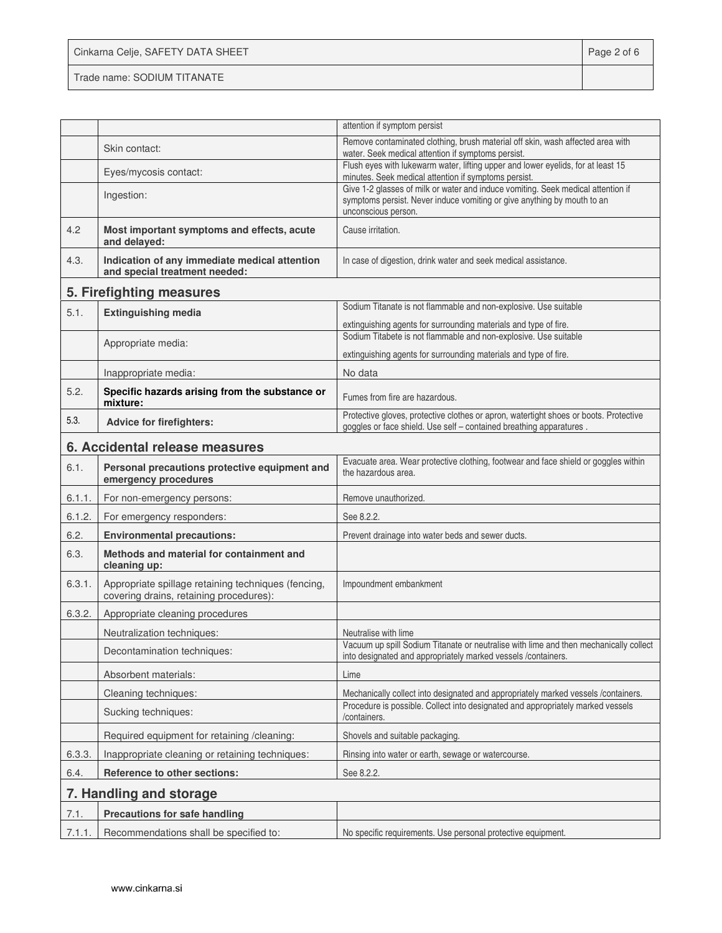Cinkarna Celje, SAFETY DATA SHEET **Page 2 of 6** Trade name: SODIUM TITANATE

| Remove contaminated clothing, brush material off skin, wash affected area with<br>Skin contact:<br>water. Seek medical attention if symptoms persist.<br>Flush eyes with lukewarm water, lifting upper and lower eyelids, for at least 15<br>Eyes/mycosis contact:<br>minutes. Seek medical attention if symptoms persist.<br>Give 1-2 glasses of milk or water and induce vomiting. Seek medical attention if<br>Ingestion:<br>symptoms persist. Never induce vomiting or give anything by mouth to an<br>unconscious person. |  |  |
|--------------------------------------------------------------------------------------------------------------------------------------------------------------------------------------------------------------------------------------------------------------------------------------------------------------------------------------------------------------------------------------------------------------------------------------------------------------------------------------------------------------------------------|--|--|
|                                                                                                                                                                                                                                                                                                                                                                                                                                                                                                                                |  |  |
|                                                                                                                                                                                                                                                                                                                                                                                                                                                                                                                                |  |  |
|                                                                                                                                                                                                                                                                                                                                                                                                                                                                                                                                |  |  |
| 4.2<br>Most important symptoms and effects, acute<br>Cause irritation.<br>and delayed:                                                                                                                                                                                                                                                                                                                                                                                                                                         |  |  |
| 4.3.<br>Indication of any immediate medical attention<br>In case of digestion, drink water and seek medical assistance.<br>and special treatment needed:                                                                                                                                                                                                                                                                                                                                                                       |  |  |
| 5. Firefighting measures                                                                                                                                                                                                                                                                                                                                                                                                                                                                                                       |  |  |
| Sodium Titanate is not flammable and non-explosive. Use suitable<br>5.1.<br><b>Extinguishing media</b><br>extinguishing agents for surrounding materials and type of fire.                                                                                                                                                                                                                                                                                                                                                     |  |  |
| Sodium Titabete is not flammable and non-explosive. Use suitable<br>Appropriate media:<br>extinguishing agents for surrounding materials and type of fire.                                                                                                                                                                                                                                                                                                                                                                     |  |  |
|                                                                                                                                                                                                                                                                                                                                                                                                                                                                                                                                |  |  |
| Inappropriate media:<br>No data                                                                                                                                                                                                                                                                                                                                                                                                                                                                                                |  |  |
| 5.2.<br>Specific hazards arising from the substance or<br>Fumes from fire are hazardous.<br>mixture:                                                                                                                                                                                                                                                                                                                                                                                                                           |  |  |
| Protective gloves, protective clothes or apron, watertight shoes or boots. Protective<br>5.3.<br><b>Advice for firefighters:</b><br>goggles or face shield. Use self - contained breathing apparatures.                                                                                                                                                                                                                                                                                                                        |  |  |
| 6. Accidental release measures                                                                                                                                                                                                                                                                                                                                                                                                                                                                                                 |  |  |
| Evacuate area. Wear protective clothing, footwear and face shield or goggles within<br>6.1.<br>Personal precautions protective equipment and<br>the hazardous area.<br>emergency procedures                                                                                                                                                                                                                                                                                                                                    |  |  |
| 6.1.1.<br>For non-emergency persons:<br>Remove unauthorized.                                                                                                                                                                                                                                                                                                                                                                                                                                                                   |  |  |
| 6.1.2.<br>For emergency responders:<br>See 8.2.2.                                                                                                                                                                                                                                                                                                                                                                                                                                                                              |  |  |
| 6.2.<br><b>Environmental precautions:</b><br>Prevent drainage into water beds and sewer ducts.                                                                                                                                                                                                                                                                                                                                                                                                                                 |  |  |
| 6.3.<br>Methods and material for containment and<br>cleaning up:                                                                                                                                                                                                                                                                                                                                                                                                                                                               |  |  |
| 6.3.1.<br>Appropriate spillage retaining techniques (fencing,<br>Impoundment embankment<br>covering drains, retaining procedures):                                                                                                                                                                                                                                                                                                                                                                                             |  |  |
| 6.3.2.<br>Appropriate cleaning procedures                                                                                                                                                                                                                                                                                                                                                                                                                                                                                      |  |  |
| Neutralization techniques:<br>Neutralise with lime                                                                                                                                                                                                                                                                                                                                                                                                                                                                             |  |  |
| Vacuum up spill Sodium Titanate or neutralise with lime and then mechanically collect<br>Decontamination techniques:<br>into designated and appropriately marked vessels / containers.                                                                                                                                                                                                                                                                                                                                         |  |  |
| Absorbent materials:<br>Lime                                                                                                                                                                                                                                                                                                                                                                                                                                                                                                   |  |  |
| Cleaning techniques:<br>Mechanically collect into designated and appropriately marked vessels /containers.                                                                                                                                                                                                                                                                                                                                                                                                                     |  |  |
| Procedure is possible. Collect into designated and appropriately marked vessels<br>Sucking techniques:<br>/containers.                                                                                                                                                                                                                                                                                                                                                                                                         |  |  |
| Required equipment for retaining /cleaning:<br>Shovels and suitable packaging.                                                                                                                                                                                                                                                                                                                                                                                                                                                 |  |  |
| Inappropriate cleaning or retaining techniques:<br>6.3.3.<br>Rinsing into water or earth, sewage or watercourse.                                                                                                                                                                                                                                                                                                                                                                                                               |  |  |
| 6.4.<br>Reference to other sections:<br>See 8.2.2.                                                                                                                                                                                                                                                                                                                                                                                                                                                                             |  |  |
| 7. Handling and storage                                                                                                                                                                                                                                                                                                                                                                                                                                                                                                        |  |  |
| 7.1.<br><b>Precautions for safe handling</b>                                                                                                                                                                                                                                                                                                                                                                                                                                                                                   |  |  |
| 7.1.1.<br>Recommendations shall be specified to:<br>No specific requirements. Use personal protective equipment.                                                                                                                                                                                                                                                                                                                                                                                                               |  |  |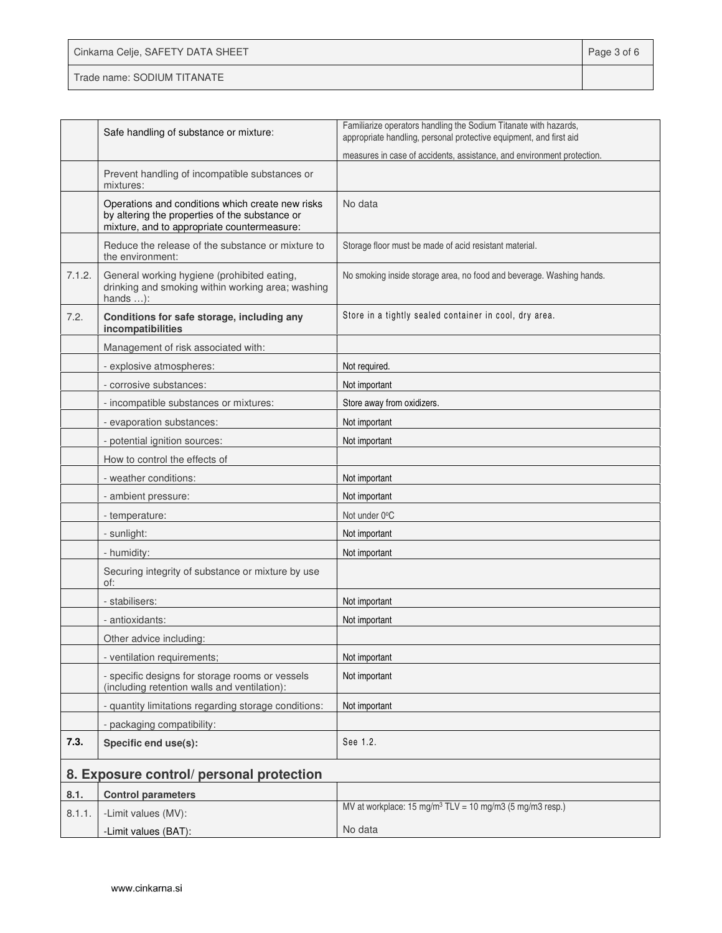| Cinkarna Celje, SAFETY DATA SHEET | Page 3 of 6 |
|-----------------------------------|-------------|
| Trade name: SODIUM TITANATE       |             |

|        | Safe handling of substance or mixture:                                                                                                            | Familiarize operators handling the Sodium Titanate with hazards,<br>appropriate handling, personal protective equipment, and first aid |
|--------|---------------------------------------------------------------------------------------------------------------------------------------------------|----------------------------------------------------------------------------------------------------------------------------------------|
|        |                                                                                                                                                   | measures in case of accidents, assistance, and environment protection.                                                                 |
|        | Prevent handling of incompatible substances or<br>mixtures:                                                                                       |                                                                                                                                        |
|        | Operations and conditions which create new risks<br>by altering the properties of the substance or<br>mixture, and to appropriate countermeasure: | No data                                                                                                                                |
|        | Reduce the release of the substance or mixture to<br>the environment:                                                                             | Storage floor must be made of acid resistant material.                                                                                 |
| 7.1.2. | General working hygiene (prohibited eating,<br>drinking and smoking within working area; washing<br>hands $\dots$ :                               | No smoking inside storage area, no food and beverage. Washing hands.                                                                   |
| 7.2.   | Conditions for safe storage, including any<br>incompatibilities                                                                                   | Store in a tightly sealed container in cool, dry area.                                                                                 |
|        | Management of risk associated with:                                                                                                               |                                                                                                                                        |
|        | - explosive atmospheres:                                                                                                                          | Not required.                                                                                                                          |
|        | - corrosive substances:                                                                                                                           | Not important                                                                                                                          |
|        | - incompatible substances or mixtures:                                                                                                            | Store away from oxidizers.                                                                                                             |
|        | - evaporation substances:                                                                                                                         | Not important                                                                                                                          |
|        | - potential ignition sources:                                                                                                                     | Not important                                                                                                                          |
|        | How to control the effects of                                                                                                                     |                                                                                                                                        |
|        | - weather conditions:                                                                                                                             | Not important                                                                                                                          |
|        | - ambient pressure:                                                                                                                               | Not important                                                                                                                          |
|        | - temperature:                                                                                                                                    | Not under 0°C                                                                                                                          |
|        | - sunlight:                                                                                                                                       | Not important                                                                                                                          |
|        | - humidity:                                                                                                                                       | Not important                                                                                                                          |
|        | Securing integrity of substance or mixture by use<br>of:                                                                                          |                                                                                                                                        |
|        | - stabilisers:                                                                                                                                    | Not important                                                                                                                          |
|        | - antioxidants:                                                                                                                                   | Not important                                                                                                                          |
|        | Other advice including:                                                                                                                           |                                                                                                                                        |
|        | - ventilation requirements;                                                                                                                       | Not important                                                                                                                          |
|        | - specific designs for storage rooms or vessels<br>(including retention walls and ventilation):                                                   | Not important                                                                                                                          |
|        | - quantity limitations regarding storage conditions:                                                                                              | Not important                                                                                                                          |
|        | - packaging compatibility:                                                                                                                        |                                                                                                                                        |
| 7.3.   | Specific end use(s):                                                                                                                              | See 1.2.                                                                                                                               |
|        | 8. Exposure control/ personal protection                                                                                                          |                                                                                                                                        |
| 8.1.   | <b>Control parameters</b>                                                                                                                         |                                                                                                                                        |
| 8.1.1. | -Limit values (MV):                                                                                                                               | MV at workplace: 15 mg/m <sup>3</sup> TLV = 10 mg/m3 (5 mg/m3 resp.)                                                                   |
|        | -Limit values (BAT):                                                                                                                              | No data                                                                                                                                |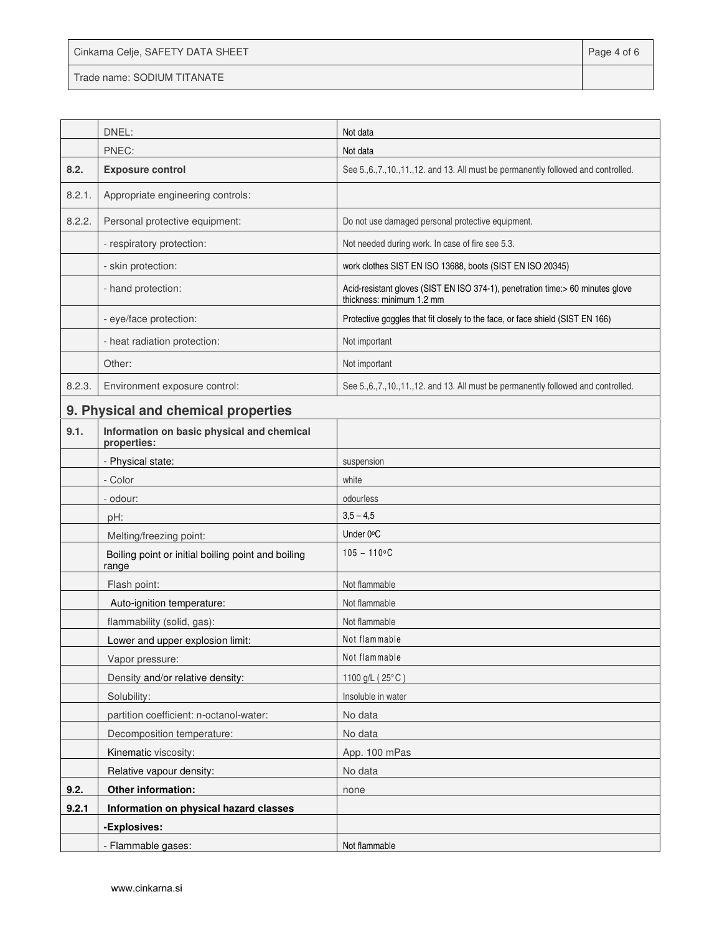|  |  | Cinkarna Celje, SAFETY DATA SHEET |  |  |
|--|--|-----------------------------------|--|--|
|--|--|-----------------------------------|--|--|

Trade name: SODIUM TITANATE

|        | DNEL:                                                       | Not data                                                                                                    |
|--------|-------------------------------------------------------------|-------------------------------------------------------------------------------------------------------------|
|        | PNEC:                                                       | Not data                                                                                                    |
| 8.2.   | <b>Exposure control</b>                                     | See 5., 6., 7., 10., 11., 12. and 13. All must be permanently followed and controlled.                      |
| 8.2.1. | Appropriate engineering controls:                           |                                                                                                             |
| 8.2.2. | Personal protective equipment:                              | Do not use damaged personal protective equipment.                                                           |
|        | - respiratory protection:                                   | Not needed during work. In case of fire see 5.3.                                                            |
|        | - skin protection:                                          | work clothes SIST EN ISO 13688, boots (SIST EN ISO 20345)                                                   |
|        | - hand protection:                                          | Acid-resistant gloves (SIST EN ISO 374-1), penetration time:> 60 minutes glove<br>thickness: minimum 1.2 mm |
|        | - eye/face protection:                                      | Protective goggles that fit closely to the face, or face shield (SIST EN 166)                               |
|        | - heat radiation protection:                                | Not important                                                                                               |
|        | Other:                                                      | Not important                                                                                               |
| 8.2.3. | Environment exposure control:                               | See 5., 6., 7., 10., 11., 12. and 13. All must be permanently followed and controlled.                      |
|        | 9. Physical and chemical properties                         |                                                                                                             |
| 9.1.   | Information on basic physical and chemical<br>properties:   |                                                                                                             |
|        | - Physical state:                                           | suspension                                                                                                  |
|        | - Color                                                     | white                                                                                                       |
|        | - odour:                                                    | odourless                                                                                                   |
|        | pH:                                                         | $3,5 - 4,5$                                                                                                 |
|        | Melting/freezing point:                                     | Under 0°C                                                                                                   |
|        | Boiling point or initial boiling point and boiling<br>range | $105 - 110$ °C                                                                                              |
|        | Flash point:                                                | Not flammable                                                                                               |
|        | Auto-ignition temperature:                                  | Not flammable                                                                                               |
|        | flammability (solid, gas):                                  | Not flammable                                                                                               |
|        | Lower and upper explosion limit:                            | Not flammable                                                                                               |
|        | Vapor pressure:                                             | Not flammable                                                                                               |
|        | Density and/or relative density:                            | 1100 g/L (25°C)                                                                                             |
|        | Solubility:                                                 | Insoluble in water                                                                                          |
|        | partition coefficient: n-octanol-water:                     | No data                                                                                                     |
|        | Decomposition temperature:                                  | No data                                                                                                     |
|        | Kinematic viscosity:                                        | App. 100 mPas                                                                                               |
|        | Relative vapour density:                                    | No data                                                                                                     |
| 9.2.   | Other information:                                          | none                                                                                                        |
| 9.2.1  | Information on physical hazard classes                      |                                                                                                             |
|        | -Explosives:                                                |                                                                                                             |
|        | - Flammable gases:                                          | Not flammable                                                                                               |

Page 4 of 6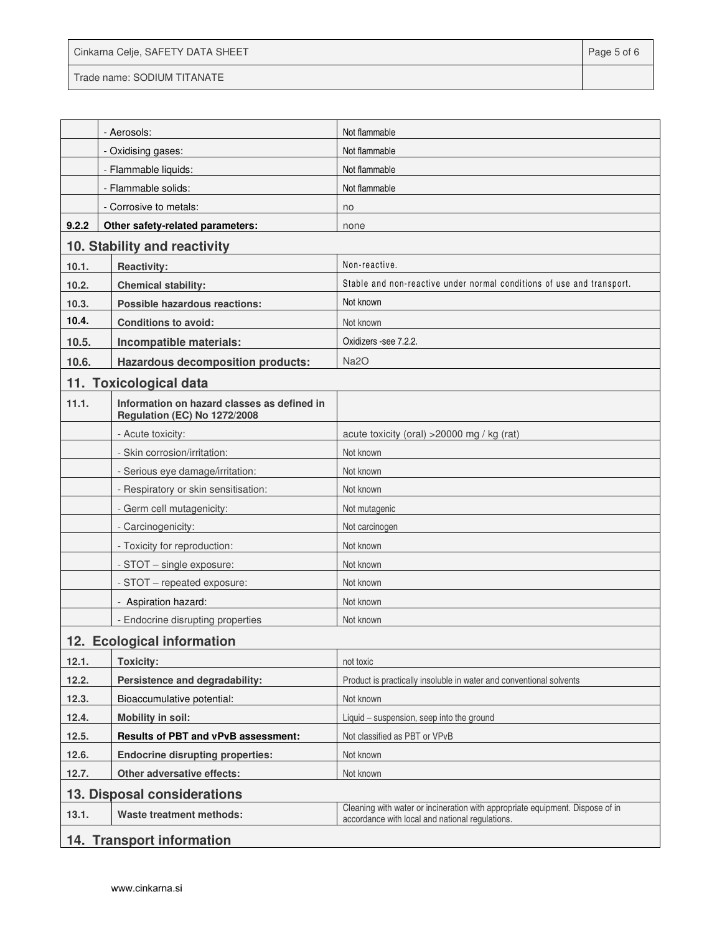| Cinkarna Celje, SAFETY DATA SHEET | Page 5 of 6 |
|-----------------------------------|-------------|
| Trade name: SODIUM TITANATE       |             |

|                             | - Aerosols:                                                                 | Not flammable                                                                                                                    |
|-----------------------------|-----------------------------------------------------------------------------|----------------------------------------------------------------------------------------------------------------------------------|
|                             | - Oxidising gases:                                                          | Not flammable                                                                                                                    |
|                             | - Flammable liquids:                                                        | Not flammable                                                                                                                    |
|                             | - Flammable solids:                                                         | Not flammable                                                                                                                    |
|                             | - Corrosive to metals:                                                      | no                                                                                                                               |
| 9.2.2                       | Other safety-related parameters:                                            | none                                                                                                                             |
|                             | 10. Stability and reactivity                                                |                                                                                                                                  |
| 10.1.                       | <b>Reactivity:</b>                                                          | Non-reactive.                                                                                                                    |
| 10.2.                       | <b>Chemical stability:</b>                                                  | Stable and non-reactive under normal conditions of use and transport.                                                            |
| 10.3.                       | Possible hazardous reactions:                                               | Not known                                                                                                                        |
| 10.4.                       | <b>Conditions to avoid:</b>                                                 | Not known                                                                                                                        |
| 10.5.                       | Incompatible materials:                                                     | Oxidizers -see 7.2.2.                                                                                                            |
| 10.6.                       | <b>Hazardous decomposition products:</b>                                    | Na <sub>2</sub> O                                                                                                                |
|                             | 11. Toxicological data                                                      |                                                                                                                                  |
| 11.1.                       | Information on hazard classes as defined in<br>Regulation (EC) No 1272/2008 |                                                                                                                                  |
|                             | - Acute toxicity:                                                           | acute toxicity (oral) > 20000 mg / kg (rat)                                                                                      |
|                             | - Skin corrosion/irritation:                                                | Not known                                                                                                                        |
|                             | - Serious eye damage/irritation:                                            | Not known                                                                                                                        |
|                             | - Respiratory or skin sensitisation:                                        | Not known                                                                                                                        |
|                             | - Germ cell mutagenicity:                                                   | Not mutagenic                                                                                                                    |
|                             | - Carcinogenicity:                                                          | Not carcinogen                                                                                                                   |
|                             | - Toxicity for reproduction:                                                | Not known                                                                                                                        |
|                             | - STOT - single exposure:                                                   | Not known                                                                                                                        |
|                             | - STOT - repeated exposure:                                                 | Not known                                                                                                                        |
|                             | - Aspiration hazard:                                                        | Not known                                                                                                                        |
|                             | - Endocrine disrupting properties                                           | Not known                                                                                                                        |
| 12. Ecological information  |                                                                             |                                                                                                                                  |
| 12.1.                       | <b>Toxicity:</b>                                                            | not toxic                                                                                                                        |
| 12.2.                       | Persistence and degradability:                                              | Product is practically insoluble in water and conventional solvents                                                              |
| 12.3.                       | Bioaccumulative potential:                                                  | Not known                                                                                                                        |
| 12.4.                       | <b>Mobility in soil:</b>                                                    | Liquid - suspension, seep into the ground                                                                                        |
| 12.5.                       | <b>Results of PBT and vPvB assessment:</b>                                  | Not classified as PBT or VPvB                                                                                                    |
| 12.6.                       | <b>Endocrine disrupting properties:</b>                                     | Not known                                                                                                                        |
| 12.7.                       | Other adversative effects:                                                  | Not known                                                                                                                        |
| 13. Disposal considerations |                                                                             |                                                                                                                                  |
| 13.1.                       | <b>Waste treatment methods:</b>                                             | Cleaning with water or incineration with appropriate equipment. Dispose of in<br>accordance with local and national regulations. |
| 14. Transport information   |                                                                             |                                                                                                                                  |